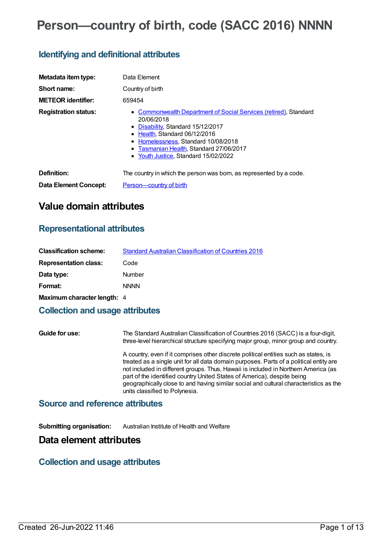# **Person—country of birth, code (SACC 2016) NNNN**

### **Identifying and definitional attributes**

| Metadata item type:          | Data Element                                                                                                                                                                                                                                                                  |
|------------------------------|-------------------------------------------------------------------------------------------------------------------------------------------------------------------------------------------------------------------------------------------------------------------------------|
| Short name:                  | Country of birth                                                                                                                                                                                                                                                              |
| <b>METEOR identifier:</b>    | 659454                                                                                                                                                                                                                                                                        |
| <b>Registration status:</b>  | • Commonwealth Department of Social Services (retired), Standard<br>20/06/2018<br>• Disability, Standard 15/12/2017<br>• Health Standard 06/12/2016<br>• Homelessness, Standard 10/08/2018<br>• Tasmanian Health, Standard 27/06/2017<br>• Youth Justice, Standard 15/02/2022 |
| Definition:                  | The country in which the person was born, as represented by a code.                                                                                                                                                                                                           |
| <b>Data Element Concept:</b> | Person-country of birth                                                                                                                                                                                                                                                       |

# **Value domain attributes**

### **Representational attributes**

| <b>Classification scheme:</b> | <b>Standard Australian Classification of Countries 2016</b> |
|-------------------------------|-------------------------------------------------------------|
| <b>Representation class:</b>  | Code                                                        |
| Data type:                    | Number                                                      |
| Format:                       | <b>NNNN</b>                                                 |
| Maximum character length: 4   |                                                             |

### **Collection and usage attributes**

**Guide for use:** The Standard Australian Classification of Countries 2016 (SACC) is a four-digit, three-level hierarchical structure specifying major group, minor group and country. A country, even if it comprises other discrete political entities such as states, is treated as a single unit for all data domain purposes. Parts of a political entity are not included in different groups. Thus, Hawaii is included in Northern America (as part of the identified country United States of America), despite being geographically close to and having similar social and cultural characteristics as the units classified to Polynesia.

#### **Source and reference attributes**

**Submitting organisation:** Australian Institute of Health and Welfare

### **Data element attributes**

### **Collection and usage attributes**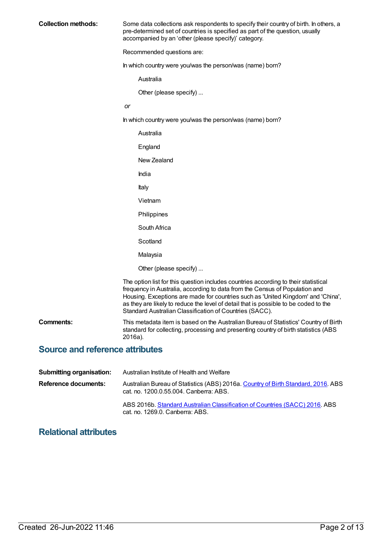| <b>Collection methods:</b>             | Some data collections ask respondents to specify their country of birth. In others, a<br>pre-determined set of countries is specified as part of the question, usually<br>accompanied by an 'other (please specify)' category.                                                                                                                                                                            |
|----------------------------------------|-----------------------------------------------------------------------------------------------------------------------------------------------------------------------------------------------------------------------------------------------------------------------------------------------------------------------------------------------------------------------------------------------------------|
|                                        | Recommended questions are:                                                                                                                                                                                                                                                                                                                                                                                |
|                                        | In which country were you/was the person/was (name) born?                                                                                                                                                                                                                                                                                                                                                 |
|                                        | Australia                                                                                                                                                                                                                                                                                                                                                                                                 |
|                                        | Other (please specify)                                                                                                                                                                                                                                                                                                                                                                                    |
|                                        | <b>or</b>                                                                                                                                                                                                                                                                                                                                                                                                 |
|                                        | In which country were you/was the person/was (name) born?                                                                                                                                                                                                                                                                                                                                                 |
|                                        | Australia                                                                                                                                                                                                                                                                                                                                                                                                 |
|                                        | England                                                                                                                                                                                                                                                                                                                                                                                                   |
|                                        | New Zealand                                                                                                                                                                                                                                                                                                                                                                                               |
|                                        | India                                                                                                                                                                                                                                                                                                                                                                                                     |
|                                        | Italy                                                                                                                                                                                                                                                                                                                                                                                                     |
|                                        | Vietnam                                                                                                                                                                                                                                                                                                                                                                                                   |
|                                        | Philippines                                                                                                                                                                                                                                                                                                                                                                                               |
|                                        | South Africa                                                                                                                                                                                                                                                                                                                                                                                              |
|                                        | Scotland                                                                                                                                                                                                                                                                                                                                                                                                  |
|                                        | Malaysia                                                                                                                                                                                                                                                                                                                                                                                                  |
|                                        | Other (please specify)                                                                                                                                                                                                                                                                                                                                                                                    |
|                                        | The option list for this question includes countries according to their statistical<br>frequency in Australia, according to data from the Census of Population and<br>Housing. Exceptions are made for countries such as 'United Kingdom' and 'China',<br>as they are likely to reduce the level of detail that is possible to be coded to the<br>Standard Australian Classification of Countries (SACC). |
| <b>Comments:</b>                       | This metadata item is based on the Australian Bureau of Statistics' Country of Birth<br>standard for collecting, processing and presenting country of birth statistics (ABS<br>2016a).                                                                                                                                                                                                                    |
| <b>Source and reference attributes</b> |                                                                                                                                                                                                                                                                                                                                                                                                           |

| <b>Submitting organisation:</b> | Australian Institute of Health and Welfare                                                                                  |
|---------------------------------|-----------------------------------------------------------------------------------------------------------------------------|
| Reference documents:            | Australian Bureau of Statistics (ABS) 2016a. Country of Birth Standard, 2016. ABS<br>cat. no. 1200.0.55.004. Canberra: ABS. |
|                                 | ABS 2016b. Standard Australian Classification of Countries (SACC) 2016. ABS<br>cat. no. 1269.0. Canberra: ABS.              |

# **Relational attributes**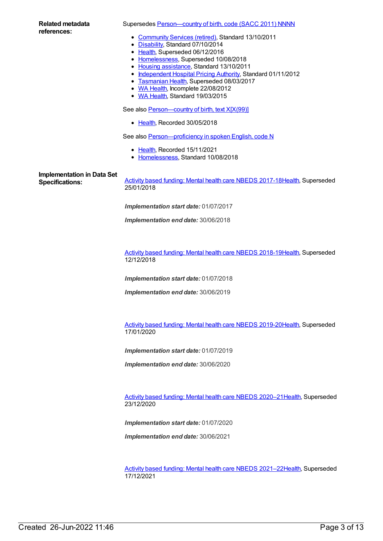#### Supersedes Person-country of birth, code (SACC 2011) NNNN

- [Community](https://meteor.aihw.gov.au/RegistrationAuthority/1) Services (retired), Standard 13/10/2011
- [Disability](https://meteor.aihw.gov.au/RegistrationAuthority/16), Standard 07/10/2014
- [Health](https://meteor.aihw.gov.au/RegistrationAuthority/12), Superseded 06/12/2016
- [Homelessness](https://meteor.aihw.gov.au/RegistrationAuthority/14), Superseded 10/08/2018
- Housing [assistance](https://meteor.aihw.gov.au/RegistrationAuthority/11), Standard 13/10/2011
- [Independent](https://meteor.aihw.gov.au/RegistrationAuthority/3) Hospital Pricing Authority, Standard 01/11/2012
- **[Tasmanian](https://meteor.aihw.gov.au/RegistrationAuthority/15) Health, Superseded 08/03/2017**
- WA [Health](https://meteor.aihw.gov.au/RegistrationAuthority/2), Incomplete 22/08/2012
- WA [Health](https://meteor.aihw.gov.au/RegistrationAuthority/2), Standard 19/03/2015

See also **[Person—country](https://meteor.aihw.gov.au/content/696778) of birth, text X[X(99)]** 

• [Health](https://meteor.aihw.gov.au/RegistrationAuthority/12), Recorded 30/05/2018

See also Person-proficiency in spoken English, code N

- [Health](https://meteor.aihw.gov.au/RegistrationAuthority/12), Recorded 15/11/2021
- [Homelessness](https://meteor.aihw.gov.au/RegistrationAuthority/14), Standard 10/08/2018

**Implementation in Data Set**

**Specifications:** Activity based funding: Mental health care NBEDS [2017-18](https://meteor.aihw.gov.au/content/639992)[Health](https://meteor.aihw.gov.au/RegistrationAuthority/12), Superseded 25/01/2018

*Implementation start date:* 01/07/2017

*Implementation end date:* 30/06/2018

Activity based funding: Mental health care NBEDS [2018-19](https://meteor.aihw.gov.au/content/676150)[Health](https://meteor.aihw.gov.au/RegistrationAuthority/12), Superseded 12/12/2018

*Implementation start date:* 01/07/2018

*Implementation end date:* 30/06/2019

Activity based funding: Mental health care NBEDS [2019-20](https://meteor.aihw.gov.au/content/699151)[Health](https://meteor.aihw.gov.au/RegistrationAuthority/12), Superseded 17/01/2020

*Implementation start date:* 01/07/2019

*Implementation end date:* 30/06/2020

Activity based funding: Mental health care NBEDS [2020–21](https://meteor.aihw.gov.au/content/715671)[Health](https://meteor.aihw.gov.au/RegistrationAuthority/12), Superseded 23/12/2020

*Implementation start date:* 01/07/2020

*Implementation end date:* 30/06/2021

Activity based funding: Mental health care NBEDS [2021–22](https://meteor.aihw.gov.au/content/735108)[Health](https://meteor.aihw.gov.au/RegistrationAuthority/12), Superseded 17/12/2021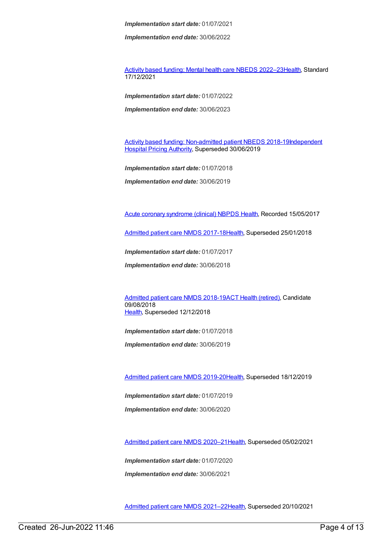*Implementation end date:* 30/06/2022

Activity based funding: Mental health care NBEDS [2022–23](https://meteor.aihw.gov.au/content/742188)[Health](https://meteor.aihw.gov.au/RegistrationAuthority/12), Standard 17/12/2021

*Implementation start date:* 01/07/2022

*Implementation end date:* 30/06/2023

Activity based funding: [Non-admitted](https://meteor.aihw.gov.au/content/687903) patient NBEDS [2018-19Independent](https://meteor.aihw.gov.au/RegistrationAuthority/3) Hospital Pricing Authority, Superseded 30/06/2019

*Implementation start date:* 01/07/2018

*Implementation end date:* 30/06/2019

Acute coronary [syndrome](https://meteor.aihw.gov.au/content/621789) (clinical) NBPDS [Health](https://meteor.aihw.gov.au/RegistrationAuthority/12), Recorded 15/05/2017

[Admitted](https://meteor.aihw.gov.au/content/641349) patient care NMDS 2017-18[Health](https://meteor.aihw.gov.au/RegistrationAuthority/12), Superseded 25/01/2018

*Implementation start date:* 01/07/2017

*Implementation end date:* 30/06/2018

[Admitted](https://meteor.aihw.gov.au/content/676382) patient care NMDS 2018-19ACT Health [\(retired\)](https://meteor.aihw.gov.au/RegistrationAuthority/9), Candidate 09/08/2018 [Health](https://meteor.aihw.gov.au/RegistrationAuthority/12), Superseded 12/12/2018

*Implementation start date:* 01/07/2018

*Implementation end date:* 30/06/2019

[Admitted](https://meteor.aihw.gov.au/content/699728) patient care NMDS 2019-20[Health](https://meteor.aihw.gov.au/RegistrationAuthority/12), Superseded 18/12/2019

*Implementation start date:* 01/07/2019 *Implementation end date:* 30/06/2020

[Admitted](https://meteor.aihw.gov.au/content/713850) patient care NMDS 2020–2[1Health](https://meteor.aihw.gov.au/RegistrationAuthority/12), Superseded 05/02/2021

*Implementation start date:* 01/07/2020 *Implementation end date:* 30/06/2021

[Admitted](https://meteor.aihw.gov.au/content/728439) patient care NMDS 2021–2[2Health](https://meteor.aihw.gov.au/RegistrationAuthority/12), Superseded 20/10/2021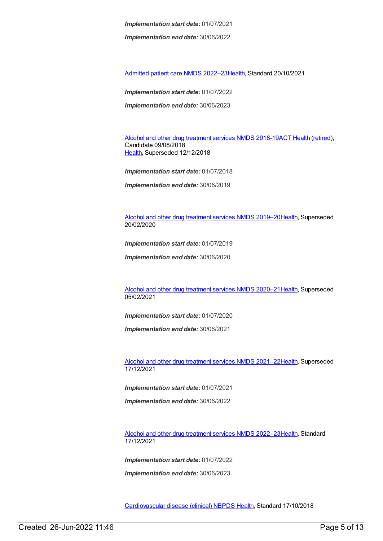*Implementation end date:* 30/06/2022

[Admitted](https://meteor.aihw.gov.au/content/742173) patient care NMDS 2022–2[3Health](https://meteor.aihw.gov.au/RegistrationAuthority/12), Standard 20/10/2021

*Implementation start date:* 01/07/2022

*Implementation end date:* 30/06/2023

Alcohol and other drug [treatment](https://meteor.aihw.gov.au/content/686596) services NMDS 2018-19ACT Health [\(retired\)](https://meteor.aihw.gov.au/RegistrationAuthority/9), Candidate 09/08/2018 [Health](https://meteor.aihw.gov.au/RegistrationAuthority/12), Superseded 12/12/2018

*Implementation start date:* 01/07/2018

*Implementation end date:* 30/06/2019

Alcohol and other drug [treatment](https://meteor.aihw.gov.au/content/700931) services NMDS 2019–2[0Health](https://meteor.aihw.gov.au/RegistrationAuthority/12), Superseded 20/02/2020

*Implementation start date:* 01/07/2019

*Implementation end date:* 30/06/2020

Alcohol and other drug [treatment](https://meteor.aihw.gov.au/content/717078) services NMDS 2020–2[1Health](https://meteor.aihw.gov.au/RegistrationAuthority/12), Superseded 05/02/2021

*Implementation start date:* 01/07/2020

*Implementation end date:* 30/06/2021

Alcohol and other drug [treatment](https://meteor.aihw.gov.au/content/733903) services NMDS 2021–2[2Health](https://meteor.aihw.gov.au/RegistrationAuthority/12), Superseded 17/12/2021

*Implementation start date:* 01/07/2021

*Implementation end date:* 30/06/2022

Alcohol and other drug [treatment](https://meteor.aihw.gov.au/content/742035) services NMDS 2022–2[3Health](https://meteor.aihw.gov.au/RegistrationAuthority/12), Standard 17/12/2021

*Implementation start date:* 01/07/2022

*Implementation end date:* 30/06/2023

[Cardiovascular](https://meteor.aihw.gov.au/content/697668) disease (clinical) NBPDS [Health](https://meteor.aihw.gov.au/RegistrationAuthority/12), Standard 17/10/2018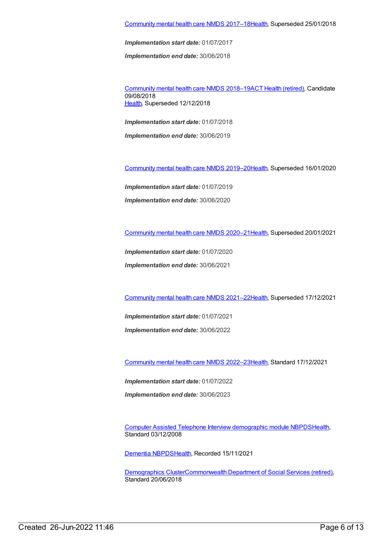*Implementation end date:* 30/06/2018

[Community](https://meteor.aihw.gov.au/content/677802) mental health care NMDS 2018–19ACT Health [\(retired\)](https://meteor.aihw.gov.au/RegistrationAuthority/9), Candidate 09/08/2018 [Health](https://meteor.aihw.gov.au/RegistrationAuthority/12), Superseded 12/12/2018

*Implementation start date:* 01/07/2018

*Implementation end date:* 30/06/2019

[Community](https://meteor.aihw.gov.au/content/699975) mental health care NMDS 2019–2[0Health](https://meteor.aihw.gov.au/RegistrationAuthority/12), Superseded 16/01/2020

*Implementation start date:* 01/07/2019 *Implementation end date:* 30/06/2020

[Community](https://meteor.aihw.gov.au/content/722221) mental health care NMDS 2020–2[1Health](https://meteor.aihw.gov.au/RegistrationAuthority/12), Superseded 20/01/2021

*Implementation start date:* 01/07/2020

*Implementation end date:* 30/06/2021

[Community](https://meteor.aihw.gov.au/content/727348) mental health care NMDS 2021–2[2Health](https://meteor.aihw.gov.au/RegistrationAuthority/12), Superseded 17/12/2021

*Implementation start date:* 01/07/2021

*Implementation end date:* 30/06/2022

[Community](https://meteor.aihw.gov.au/content/742040) mental health care NMDS 2022–2[3Health](https://meteor.aihw.gov.au/RegistrationAuthority/12), Standard 17/12/2021

*Implementation start date:* 01/07/2022

*Implementation end date:* 30/06/2023

Computer Assisted Telephone Interview [demographic](https://meteor.aihw.gov.au/content/374218) module NBPD[SHealth](https://meteor.aihw.gov.au/RegistrationAuthority/12), Standard 03/12/2008

[Dementia](https://meteor.aihw.gov.au/content/737872) NBPDS[Health](https://meteor.aihw.gov.au/RegistrationAuthority/12), Recorded 15/11/2021

[Demographics](https://meteor.aihw.gov.au/content/650590) Cluste[rCommonwealth](https://meteor.aihw.gov.au/RegistrationAuthority/7) Department of Social Services (retired), Standard 20/06/2018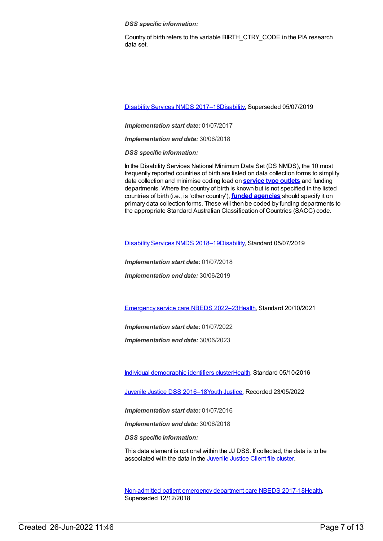*DSS specific information:*

Country of birth refers to the variable BIRTH\_CTRY\_CODE in the PIA research data set.

[Disability](https://meteor.aihw.gov.au/content/664954) Services NMDS 2017–1[8Disability](https://meteor.aihw.gov.au/RegistrationAuthority/16), Superseded 05/07/2019

*Implementation start date:* 01/07/2017

*Implementation end date:* 30/06/2018

*DSS specific information:*

In the Disability Services National Minimum Data Set (DS NMDS), the 10 most frequently reported countries of birth are listed on data collection forms to simplify data collection and minimise coding load on **[service](https://meteor.aihw.gov.au/content/501973) type outlets** and funding departments. Where the country of birth is known but is not specified in the listed countries of birth (i.e., is 'other country'), **funded [agencies](https://meteor.aihw.gov.au/content/386548)** should specify it on primary data collection forms. These will then be coded by funding departments to the appropriate Standard Australian Classification of Countries (SACC) code.

[Disability](https://meteor.aihw.gov.au/content/698074) Services NMDS 2018–1[9Disability](https://meteor.aihw.gov.au/RegistrationAuthority/16), Standard 05/07/2019

*Implementation start date:* 01/07/2018

*Implementation end date:* 30/06/2019

[Emergency](https://meteor.aihw.gov.au/content/742180) service care NBEDS 2022–2[3Health](https://meteor.aihw.gov.au/RegistrationAuthority/12), Standard 20/10/2021

*Implementation start date:* 01/07/2022

*Implementation end date:* 30/06/2023

Individual [demographic](https://meteor.aihw.gov.au/content/528542) identifiers cluste[rHealth](https://meteor.aihw.gov.au/RegistrationAuthority/12), Standard 05/10/2016

Juvenile Justice DSS [2016–18](https://meteor.aihw.gov.au/content/676794)Youth [Justice](https://meteor.aihw.gov.au/RegistrationAuthority/4), Recorded 23/05/2022

*Implementation start date:* 01/07/2016

*Implementation end date:* 30/06/2018

*DSS specific information:*

This data element is optional within the JJ DSS. If collected, the data is to be associated with the data in the [Juvenile](file:///content/513199) Justice Client file cluster.

[Non-admitted](https://meteor.aihw.gov.au/content/655704) patient emergency department care NBEDS 2017-1[8Health](https://meteor.aihw.gov.au/RegistrationAuthority/12), Superseded 12/12/2018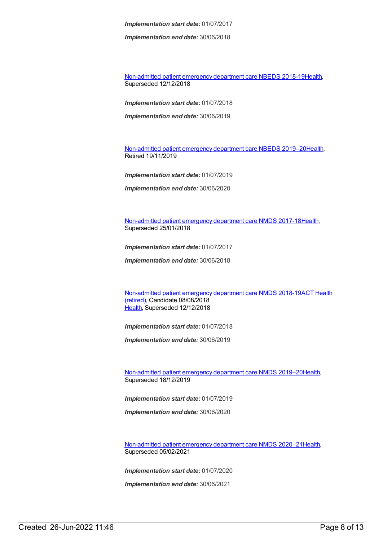*Implementation end date:* 30/06/2018

[Non-admitted](https://meteor.aihw.gov.au/content/676384) patient emergency department care NBEDS 2018-1[9Health](https://meteor.aihw.gov.au/RegistrationAuthority/12), Superseded 12/12/2018

*Implementation start date:* 01/07/2018

*Implementation end date:* 30/06/2019

[Non-admitted](https://meteor.aihw.gov.au/content/708556) patient emergency department care NBEDS 2019–2[0Health](https://meteor.aihw.gov.au/RegistrationAuthority/12), Retired 19/11/2019

*Implementation start date:* 01/07/2019

*Implementation end date:* 30/06/2020

[Non-admitted](https://meteor.aihw.gov.au/content/651856) patient emergency department care NMDS 2017-18[Health](https://meteor.aihw.gov.au/RegistrationAuthority/12), Superseded 25/01/2018

*Implementation start date:* 01/07/2017

*Implementation end date:* 30/06/2018

[Non-admitted](https://meteor.aihw.gov.au/RegistrationAuthority/9) patient emergency department care NMDS 2018-19ACT Health (retired), Candidate 08/08/2018 [Health](https://meteor.aihw.gov.au/RegistrationAuthority/12), Superseded 12/12/2018

*Implementation start date:* 01/07/2018

*Implementation end date:* 30/06/2019

[Non-admitted](https://meteor.aihw.gov.au/content/699738) patient emergency department care NMDS 2019–2[0Health](https://meteor.aihw.gov.au/RegistrationAuthority/12), Superseded 18/12/2019

*Implementation start date:* 01/07/2019

*Implementation end date:* 30/06/2020

[Non-admitted](https://meteor.aihw.gov.au/content/713860) patient emergency department care NMDS 2020–2[1Health](https://meteor.aihw.gov.au/RegistrationAuthority/12), Superseded 05/02/2021

*Implementation start date:* 01/07/2020

*Implementation end date:* 30/06/2021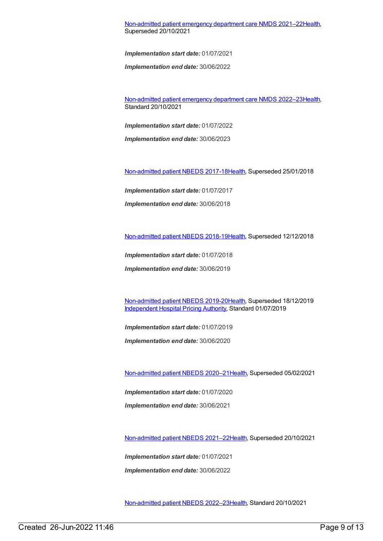[Non-admitted](https://meteor.aihw.gov.au/content/727360) patient emergency department care NMDS 2021–2[2Health](https://meteor.aihw.gov.au/RegistrationAuthority/12), Superseded 20/10/2021

*Implementation start date:* 01/07/2021

*Implementation end date:* 30/06/2022

[Non-admitted](https://meteor.aihw.gov.au/content/742184) patient emergency department care NMDS 2022–2[3Health](https://meteor.aihw.gov.au/RegistrationAuthority/12), Standard 20/10/2021

*Implementation start date:* 01/07/2022

*Implementation end date:* 30/06/2023

[Non-admitted](https://meteor.aihw.gov.au/content/650086) patient NBEDS 2017-18[Health](https://meteor.aihw.gov.au/RegistrationAuthority/12), Superseded 25/01/2018

*Implementation start date:* 01/07/2017

*Implementation end date:* 30/06/2018

[Non-admitted](https://meteor.aihw.gov.au/content/672552) patient NBEDS 2018-19[Health](https://meteor.aihw.gov.au/RegistrationAuthority/12), Superseded 12/12/2018

*Implementation start date:* 01/07/2018

*Implementation end date:* 30/06/2019

[Non-admitted](https://meteor.aihw.gov.au/content/699590) patient NBEDS 2019-20[Health](https://meteor.aihw.gov.au/RegistrationAuthority/12), Superseded 18/12/2019 [Independent](https://meteor.aihw.gov.au/RegistrationAuthority/3) Hospital Pricing Authority, Standard 01/07/2019

*Implementation start date:* 01/07/2019

*Implementation end date:* 30/06/2020

[Non-admitted](https://meteor.aihw.gov.au/content/713856) patient NBEDS 2020–2[1Health](https://meteor.aihw.gov.au/RegistrationAuthority/12), Superseded 05/02/2021

*Implementation start date:* 01/07/2020 *Implementation end date:* 30/06/2021

[Non-admitted](https://meteor.aihw.gov.au/content/727331) patient NBEDS 2021–2[2Health](https://meteor.aihw.gov.au/RegistrationAuthority/12), Superseded 20/10/2021

*Implementation start date:* 01/07/2021 *Implementation end date:* 30/06/2022

[Non-admitted](https://meteor.aihw.gov.au/content/742186) patient NBEDS 2022–2[3Health](https://meteor.aihw.gov.au/RegistrationAuthority/12), Standard 20/10/2021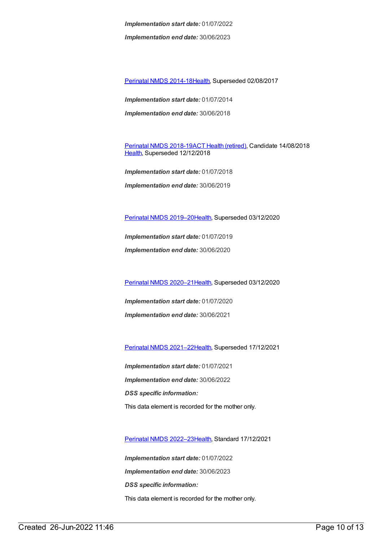*Implementation end date:* 30/06/2023

[Perinatal](https://meteor.aihw.gov.au/content/517456) NMDS 2014-1[8Health](https://meteor.aihw.gov.au/RegistrationAuthority/12), Superseded 02/08/2017

*Implementation start date:* 01/07/2014 *Implementation end date:* 30/06/2018

[Perinatal](https://meteor.aihw.gov.au/content/668811) NMDS 2018-19ACT Health [\(retired\)](https://meteor.aihw.gov.au/RegistrationAuthority/9), Candidate 14/08/2018 [Health](https://meteor.aihw.gov.au/RegistrationAuthority/12), Superseded 12/12/2018

*Implementation start date:* 01/07/2018 *Implementation end date:* 30/06/2019

Perinatal NMDS [2019–20](https://meteor.aihw.gov.au/content/694988)[Health](https://meteor.aihw.gov.au/RegistrationAuthority/12), Superseded 03/12/2020

*Implementation start date:* 01/07/2019

*Implementation end date:* 30/06/2020

Perinatal NMDS [2020–21](https://meteor.aihw.gov.au/content/716081)[Health](https://meteor.aihw.gov.au/RegistrationAuthority/12), Superseded 03/12/2020

*Implementation start date:* 01/07/2020 *Implementation end date:* 30/06/2021

Perinatal NMDS [2021–22](https://meteor.aihw.gov.au/content/727291)[Health](https://meteor.aihw.gov.au/RegistrationAuthority/12), Superseded 17/12/2021

*Implementation start date:* 01/07/2021 *Implementation end date:* 30/06/2022 *DSS specific information:* This data element is recorded for the mother only.

Perinatal NMDS [2022–23](https://meteor.aihw.gov.au/content/742052)[Health](https://meteor.aihw.gov.au/RegistrationAuthority/12), Standard 17/12/2021

*Implementation start date:* 01/07/2022 *Implementation end date:* 30/06/2023 *DSS specific information:* This data element is recorded for the mother only.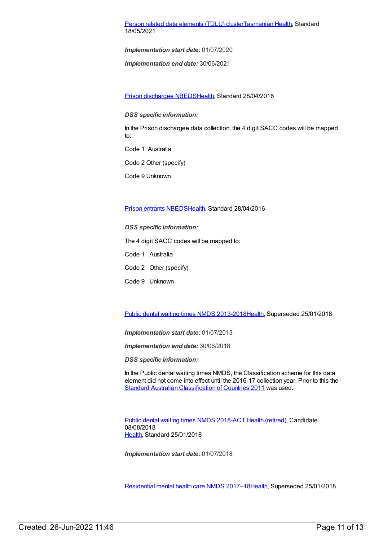#### Person related data [elements](https://meteor.aihw.gov.au/content/743771) (TDLU) cluste[rTasmanian](https://meteor.aihw.gov.au/RegistrationAuthority/15) Health, Standard 18/05/2021

*Implementation start date:* 01/07/2020

*Implementation end date:* 30/06/2021

Prison [dischargee](https://meteor.aihw.gov.au/content/624543) NBED[SHealth](https://meteor.aihw.gov.au/RegistrationAuthority/12), Standard 28/04/2016

*DSS specific information:*

In the Prison dischargee data collection, the 4 digit SACC codes will be mapped to:

Code 1 Australia

Code 2 Other (specify)

Code 9 Unknown

#### Prison entrants [NBEDS](https://meteor.aihw.gov.au/content/482353)[Health,](https://meteor.aihw.gov.au/RegistrationAuthority/12) Standard 28/04/2016

*DSS specific information:*

The 4 digit SACC codes will be mapped to:

Code 1 Australia

Code 2 Other (specify)

Code 9 Unknown

Public dental waiting times NMDS [2013-2018](https://meteor.aihw.gov.au/content/494562)[Health](https://meteor.aihw.gov.au/RegistrationAuthority/12), Superseded 25/01/2018

*Implementation start date:* 01/07/2013

*Implementation end date:* 30/06/2018

*DSS specific information:*

In the Public dental waiting times NMDS, the Classification scheme for this data element did not come into effect until the 2016-17 collection year. Prior to this the Standard Australian [Classification](file:///content/459967) of Countries 2011 was used.

Public dental [waiting](https://meteor.aihw.gov.au/content/686200) times NMDS 2018-ACT Health [\(retired\)](https://meteor.aihw.gov.au/RegistrationAuthority/9), Candidate 08/08/2018 [Health](https://meteor.aihw.gov.au/RegistrationAuthority/12), Standard 25/01/2018

*Implementation start date:* 01/07/2018

[Residential](https://meteor.aihw.gov.au/content/645718) mental health care NMDS 2017–1[8Health](https://meteor.aihw.gov.au/RegistrationAuthority/12), Superseded 25/01/2018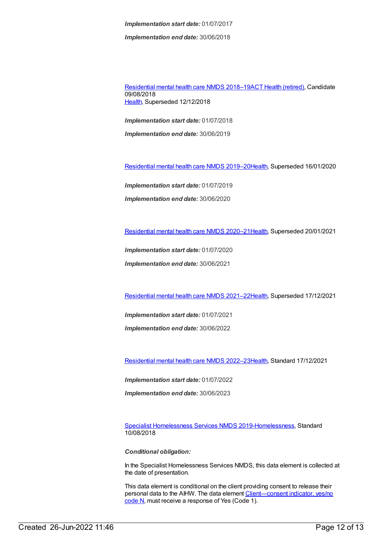*Implementation end date:* 30/06/2018

[Residential](https://meteor.aihw.gov.au/content/685927) mental health care NMDS 2018–19ACT Health [\(retired\)](https://meteor.aihw.gov.au/RegistrationAuthority/9), Candidate 09/08/2018 [Health](https://meteor.aihw.gov.au/RegistrationAuthority/12), Superseded 12/12/2018

*Implementation start date:* 01/07/2018

*Implementation end date:* 30/06/2019

[Residential](https://meteor.aihw.gov.au/content/707512) mental health care NMDS 2019–2[0Health](https://meteor.aihw.gov.au/RegistrationAuthority/12), Superseded 16/01/2020

*Implementation start date:* 01/07/2019 *Implementation end date:* 30/06/2020

[Residential](https://meteor.aihw.gov.au/content/722224) mental health care NMDS 2020–2[1Health](https://meteor.aihw.gov.au/RegistrationAuthority/12), Superseded 20/01/2021

*Implementation start date:* 01/07/2020

*Implementation end date:* 30/06/2021

[Residential](https://meteor.aihw.gov.au/content/727354) mental health care NMDS 2021–2[2Health](https://meteor.aihw.gov.au/RegistrationAuthority/12), Superseded 17/12/2021

*Implementation start date:* 01/07/2021

*Implementation end date:* 30/06/2022

[Residential](https://meteor.aihw.gov.au/content/742165) mental health care NMDS 2022–2[3Health](https://meteor.aihw.gov.au/RegistrationAuthority/12), Standard 17/12/2021

*Implementation start date:* 01/07/2022

*Implementation end date:* 30/06/2023

Specialist [Homelessness](https://meteor.aihw.gov.au/content/689064) Services NMDS 2019[-Homelessness](https://meteor.aihw.gov.au/RegistrationAuthority/14), Standard 10/08/2018

*Conditional obligation:*

In the Specialist Homelessness Services NMDS, this data element is collected at the date of presentation.

This data element is conditional on the client providing consent to release their personal data to the AIHW. The data element Client-consent indicator, yes/no code N, must receive a response of Yes (Code 1).